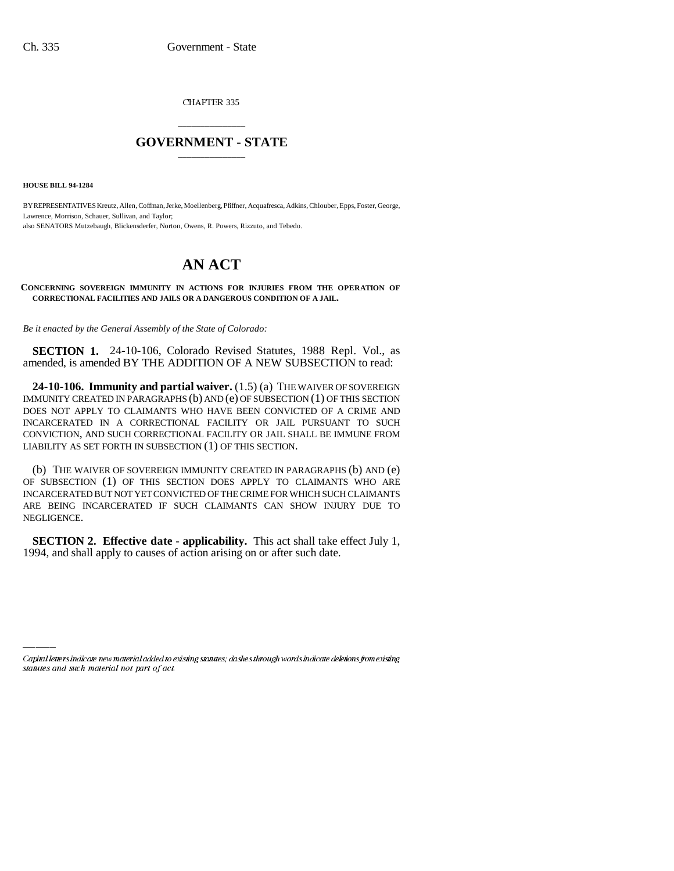CHAPTER 335

## \_\_\_\_\_\_\_\_\_\_\_\_\_\_\_ **GOVERNMENT - STATE** \_\_\_\_\_\_\_\_\_\_\_\_\_\_\_

**HOUSE BILL 94-1284**

BY REPRESENTATIVES Kreutz, Allen, Coffman, Jerke, Moellenberg, Pfiffner, Acquafresca, Adkins, Chlouber, Epps, Foster, George, Lawrence, Morrison, Schauer, Sullivan, and Taylor; also SENATORS Mutzebaugh, Blickensderfer, Norton, Owens, R. Powers, Rizzuto, and Tebedo.

## **AN ACT**

## **CONCERNING SOVEREIGN IMMUNITY IN ACTIONS FOR INJURIES FROM THE OPERATION OF CORRECTIONAL FACILITIES AND JAILS OR A DANGEROUS CONDITION OF A JAIL.**

*Be it enacted by the General Assembly of the State of Colorado:*

**SECTION 1.** 24-10-106, Colorado Revised Statutes, 1988 Repl. Vol., as amended, is amended BY THE ADDITION OF A NEW SUBSECTION to read:

**24-10-106. Immunity and partial waiver.** (1.5) (a) THE WAIVER OF SOVEREIGN IMMUNITY CREATED IN PARAGRAPHS (b) AND (e) OF SUBSECTION (1) OF THIS SECTION DOES NOT APPLY TO CLAIMANTS WHO HAVE BEEN CONVICTED OF A CRIME AND INCARCERATED IN A CORRECTIONAL FACILITY OR JAIL PURSUANT TO SUCH CONVICTION, AND SUCH CORRECTIONAL FACILITY OR JAIL SHALL BE IMMUNE FROM LIABILITY AS SET FORTH IN SUBSECTION (1) OF THIS SECTION.

(b) THE WAIVER OF SOVEREIGN IMMUNITY CREATED IN PARAGRAPHS (b) AND (e) OF SUBSECTION (1) OF THIS SECTION DOES APPLY TO CLAIMANTS WHO ARE INCARCERATED BUT NOT YET CONVICTED OF THE CRIME FOR WHICH SUCH CLAIMANTS ARE BEING INCARCERATED IF SUCH CLAIMANTS CAN SHOW INJURY DUE TO NEGLIGENCE.

**SECTION 2. Effective date - applicability.** This act shall take effect July 1, 1994, and shall apply to causes of action arising on or after such date.

Capital letters indicate new material added to existing statutes; dashes through words indicate deletions from existing statutes and such material not part of act.